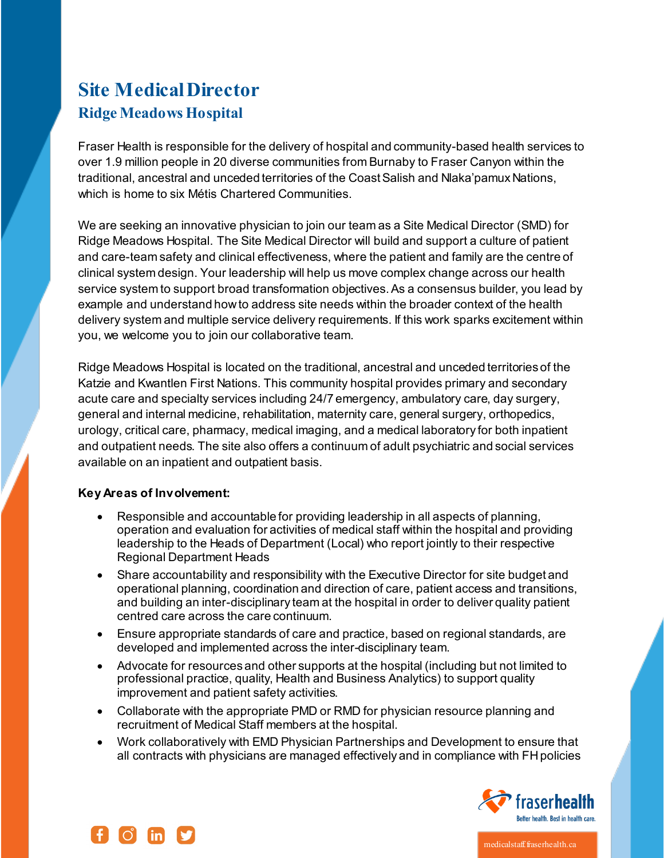# **Site Medical Director Ridge Meadows Hospital**

Fraser Health is responsible for the delivery of hospital and community-based health services to over 1.9 million people in 20 diverse communities from Burnaby to Fraser Canyon within the traditional, ancestral and unceded territories of the Coast Salish and Nlaka'pamux Nations, which is home to six Métis Chartered Communities.

We are seeking an innovative physician to join our team as a Site Medical Director (SMD) for Ridge Meadows Hospital. The Site Medical Director will build and support a culture of patient and care-team safety and clinical effectiveness, where the patient and family are the centre of clinical system design. Your leadership will help us move complex change across our health service system to support broad transformation objectives. As a consensus builder, you lead by example and understand how to address site needs within the broader context of the health delivery system and multiple service delivery requirements. If this work sparks excitement within you, we welcome you to join our collaborative team.

Ridge Meadows Hospital is located on the traditional, ancestral and unceded territories of the Katzie and Kwantlen First Nations. This community hospital provides primary and secondary acute care and specialty services including 24/7 emergency, ambulatory care, day surgery, general and internal medicine, rehabilitation, maternity care, general surgery, orthopedics, urology, critical care, pharmacy, medical imaging, and a medical laboratory for both inpatient and outpatient needs. The site also offers a continuum of adult psychiatric and social services available on an inpatient and outpatient basis.

# **Key Areas of Involvement:**

- Responsible and accountable for providing leadership in all aspects of planning, operation and evaluation for activities of medical staff within the hospital and providing leadership to the Heads of Department (Local) who report jointly to their respective Regional Department Heads
- Share accountability and responsibility with the Executive Director for site budget and operational planning, coordination and direction of care, patient access and transitions, and building an inter-disciplinary team at the hospital in order to deliver quality patient centred care across the care continuum.
- Ensure appropriate standards of care and practice, based on regional standards, are developed and implemented across the inter-disciplinary team.
- Advocate for resources and other supports at the hospital (including but not limited to professional practice, quality, Health and Business Analytics) to support quality improvement and patient safety activities.
- Collaborate with the appropriate PMD or RMD for physician resource planning and recruitment of Medical Staff members at the hospital.
- Work collaboratively with EMD Physician Partnerships and Development to ensure that all contracts with physicians are managed effectively and in compliance with FH policies





medicalstaff.fraserhealth.ca